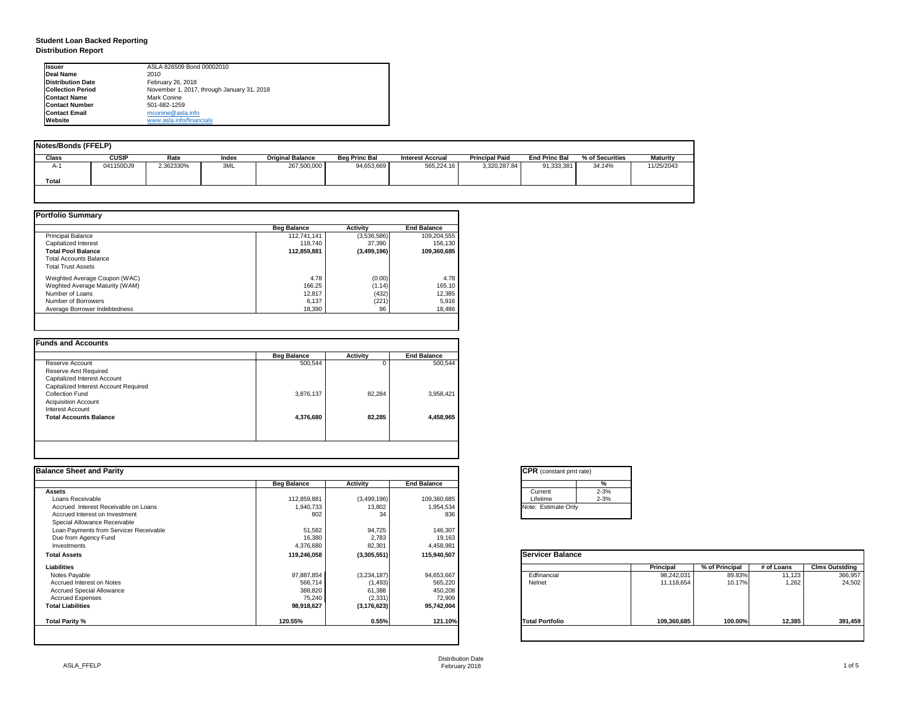# **Student Loan Backed Reporting Distribution Report**

| <b>Notes/Bonds (FFELP)</b> |              |           |              |                         |                      |                         |                       |                      |                 |                 |
|----------------------------|--------------|-----------|--------------|-------------------------|----------------------|-------------------------|-----------------------|----------------------|-----------------|-----------------|
| Class                      | <b>CUSIP</b> | Rate      | <b>Index</b> | <b>Original Balance</b> | <b>Beg Princ Bal</b> | <b>Interest Accrual</b> | <b>Principal Paid</b> | <b>End Princ Bal</b> | % of Securities | <b>Maturity</b> |
| A-1                        | 041150DJ9    | 2.362330% | 3ML          | 267,500,000             | 94,653,669           | 565,224.16              | 3,320,287.84          | 91,333,381           | 34.14%          | 11/25/2043      |
| <b>Total</b>               |              |           |              |                         |                      |                         |                       |                      |                 |                 |
|                            |              |           |              |                         |                      |                         |                       |                      |                 |                 |

|                                | <b>Beg Balance</b> | <b>Activity</b> | <b>End Balance</b> |
|--------------------------------|--------------------|-----------------|--------------------|
| <b>Principal Balance</b>       | 112,741,141        | (3,536,586)     | 109,204,555        |
| Capitalized Interest           | 118,740            | 37,390          | 156,130            |
| <b>Total Pool Balance</b>      | 112,859,881        | (3,499,196)     | 109,360,685        |
| <b>Total Accounts Balance</b>  |                    |                 |                    |
| <b>Total Trust Assets</b>      |                    |                 |                    |
| Weighted Average Coupon (WAC)  | 4.78               | (0.00)          | 4.78               |
| Weghted Average Maturity (WAM) | 166.25             | (1.14)          | 165.10             |
| Number of Loans                | 12,817             | (432)           | 12,385             |
| Number of Borrowers            | 6,137              | (221)           | 5,916              |
| Average Borrower Indebtedness  | 18,390             | 96              | 18,486             |

|                                       | <b>Beg Balance</b> | <b>Activity</b> | <b>End Balance</b> |
|---------------------------------------|--------------------|-----------------|--------------------|
| Reserve Account                       | 500,544            | 0               | 500,544            |
| Reserve Amt Required                  |                    |                 |                    |
| Capitalized Interest Account          |                    |                 |                    |
| Capitalized Interest Account Required |                    |                 |                    |
| <b>Collection Fund</b>                | 3,876,137          | 82,284          | 3,958,421          |
| <b>Acquisition Account</b>            |                    |                 |                    |
| Interest Account                      |                    |                 |                    |
| <b>Total Accounts Balance</b>         | 4,376,680          | 82,285          | 4,458,965          |
|                                       |                    |                 |                    |

Distribution Date February 2018 2018 2018 2018 2019 2018 2019 2019 2019 2020 2021 2021 2032 204 205 206 207 208 209 2019 2019 20

| tant pmt rate) |          |
|----------------|----------|
|                |          |
|                | %        |
|                | $2 - 3%$ |
|                | $2 - 3%$ |
| ate Only       |          |
|                |          |

| <b>Balance</b> |                  |                |            |                       |
|----------------|------------------|----------------|------------|-----------------------|
|                | <b>Principal</b> | % of Principal | # of Loans | <b>Clms Outstding</b> |
|                | 98,242,031       | 89.83%         | 11,123     | 366,957               |
|                | 11,118,654       | 10.17%         | 1,262      | 24,502                |
|                |                  |                |            |                       |
| lio            | 109,360,685      | 100.00%        | 12,385     | 391,459               |

| Ilssuer                  | ASLA 826509 Bond 00002010                  |
|--------------------------|--------------------------------------------|
| Deal Name                | 2010                                       |
| <b>Distribution Date</b> | February 26, 2018                          |
| <b>Collection Period</b> | November 1, 2017, through January 31, 2018 |
| <b>IContact Name</b>     | Mark Conine                                |
| <b>IContact Number</b>   | 501-682-1259                               |
| <b>Contact Email</b>     | mconine@asla.info                          |
| <b>Website</b>           | www.asla.info/financials                   |

| <b>Balance Sheet and Parity</b>        |                    |                 |                    | <b>CPR</b> (constant pmt rate) |                  |                |            |                       |
|----------------------------------------|--------------------|-----------------|--------------------|--------------------------------|------------------|----------------|------------|-----------------------|
|                                        | <b>Beg Balance</b> | <b>Activity</b> | <b>End Balance</b> | %                              |                  |                |            |                       |
| Assets                                 |                    |                 |                    | $2 - 3%$<br>Current            |                  |                |            |                       |
| Loans Receivable                       | 112,859,881        | (3,499,196)     | 109,360,685        | $2 - 3%$<br>Lifetime           |                  |                |            |                       |
| Accrued Interest Receivable on Loans   | 1,940,733          | 13,802          | 1,954,534          | Note: Estimate Only            |                  |                |            |                       |
| Accrued Interest on Investment         | 802                | 34              | 836                |                                |                  |                |            |                       |
| Special Allowance Receivable           |                    |                 |                    |                                |                  |                |            |                       |
| Loan Payments from Servicer Receivable | 51,582             | 94,725          | 146,307            |                                |                  |                |            |                       |
| Due from Agency Fund                   | 16,380             | 2,783           | 19,163             |                                |                  |                |            |                       |
| Investments                            | 4,376,680          | 82,301          | 4,458,981          |                                |                  |                |            |                       |
| <b>Total Assets</b>                    | 119,246,058        | (3,305,551)     | 115,940,507        | <b>Servicer Balance</b>        |                  |                |            |                       |
| <b>Liabilities</b>                     |                    |                 |                    |                                | <b>Principal</b> | % of Principal | # of Loans | <b>CIms Outstding</b> |
| Notes Payable                          | 97,887,854         | (3,234,187)     | 94,653,667         | Edfinancial                    | 98,242,031       | 89.83%         | 11,123     | 366,957               |
| Accrued Interest on Notes              | 566,714            | (1, 493)        | 565,220            | Nelnet                         | 11,118,654       | 10.17%         | 1,262      | 24,502                |
| <b>Accrued Special Allowance</b>       | 388,820            | 61,388          | 450,208            |                                |                  |                |            |                       |
| <b>Accrued Expenses</b>                | 75,240             | (2, 331)        | 72,909             |                                |                  |                |            |                       |
| <b>Total Liabilities</b>               | 98,918,627         | (3, 176, 623)   | 95,742,004         |                                |                  |                |            |                       |
| Total Parity %                         | 120.55%            | 0.55%           | 121.10%            | <b>Total Portfolio</b>         | 109,360,685      | 100.00%        | 12,385     | 391,459               |

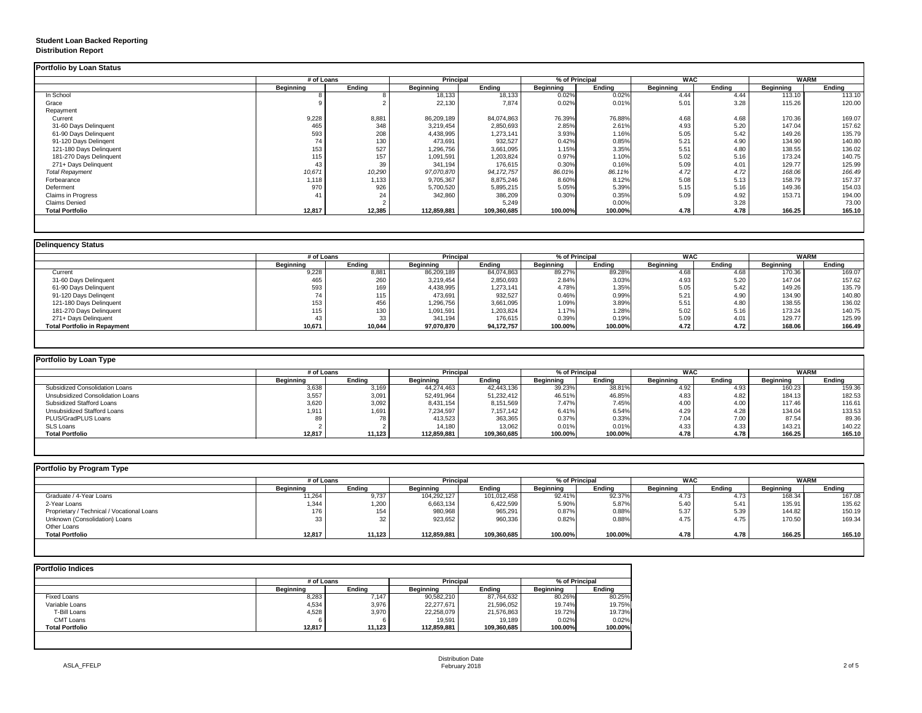## **Student Loan Backed Reporting Distribution Report**

|                           | # of Loans       |               | <b>Principal</b> |               | % of Principal   |               | <b>WAC</b>       |               | <b>WARM</b>      |               |
|---------------------------|------------------|---------------|------------------|---------------|------------------|---------------|------------------|---------------|------------------|---------------|
|                           | <b>Beginning</b> | <b>Ending</b> | <b>Beginning</b> | <b>Ending</b> | <b>Beginning</b> | <b>Ending</b> | <b>Beginning</b> | <b>Ending</b> | <b>Beginning</b> | <b>Ending</b> |
| In School                 |                  |               | 18,133           | 18,133        | 0.02%            | 0.02%         | 4.44             | 4.44          | 113.10           | 113.10        |
| Grace                     |                  |               | 22,130           | 7,874         | 0.02%            | 0.01%         | 5.01             | 3.28          | 115.26           | 120.00        |
| Repayment                 |                  |               |                  |               |                  |               |                  |               |                  |               |
| Current                   | 9,228            | 8,881         | 86,209,189       | 84,074,863    | 76.39%           | 76.88%        | 4.68             | 4.68          | 170.36           | 169.07        |
| 31-60 Days Delinquent     | 465              | 348           | 3,219,454        | 2,850,693     | 2.85%            | 2.61%         | 4.93             | 5.20          | 147.04           | 157.62        |
| 61-90 Days Delinquent     | 593              | 208           | 4,438,995        | 1,273,141     | 3.93%            | 1.16%         | 5.05             | 5.42          | 149.26           | 135.79        |
| 91-120 Days Delingent     | 74               | 130           | 473,691          | 932,527       | 0.42%            | 0.85%         | 5.21             | 4.90          | 134.90           | 140.80        |
| 121-180 Days Delinquent   | 153              | 527           | 1,296,756        | 3,661,095     | 1.15%            | 3.35%         | 5.51             | 4.80          | 138.55           | 136.02        |
| 181-270 Days Delinquent   | 115              | 157           | 1,091,591        | 1,203,824     | 0.97%            | 1.10%         | 5.02             | 5.16          | 173.24           | 140.75        |
| 271+ Days Delinquent      | 43               | 39            | 341,194          | 176,615       | 0.30%            | 0.16%         | 5.09             | 4.01          | 129.77           | 125.99        |
| <b>Total Repayment</b>    | 10,671           | 10,290        | 97,070,870       | 94, 172, 757  | 86.01%           | 86.11%        | 4.72             | 4.72          | 168.06           | 166.49        |
| Forbearance               | 1,118            | 1,133         | 9,705,367        | 8,875,246     | 8.60%            | 8.12%         | 5.08             | 5.13          | 158.79           | 157.37        |
| Deferment                 | 970              | 926           | 5,700,520        | 5,895,215     | 5.05%            | 5.39%         | 5.15             | 5.16          | 149.36           | 154.03        |
| <b>Claims in Progress</b> | 41               | 24            | 342,860          | 386,209       | 0.30%            | 0.35%         | 5.09             | 4.92          | 153.71           | 194.00        |
| <b>Claims Denied</b>      |                  |               |                  | 5,249         |                  | 0.00%         |                  | 3.28          |                  | 73.00         |
| <b>Total Portfolio</b>    | 12,817           | 12,385        | 112,859,881      | 109,360,685   | 100.00%          | 100.00%       | 4.78             | 4.78          | 166.25           | 165.10        |

|                                     | # of Loans       |               | <b>Principal</b> |               | % of Principal |               | <b>WAC</b>       |        | <b>WARM</b>      |        |
|-------------------------------------|------------------|---------------|------------------|---------------|----------------|---------------|------------------|--------|------------------|--------|
|                                     | <b>Beginning</b> | <b>Ending</b> | <b>Beginning</b> | <b>Ending</b> | Beginning      | <b>Ending</b> | <b>Beginning</b> | Ending | <b>Beginning</b> | Ending |
| Current                             | 9,228            | 8,881         | 86,209,189       | 84,074,863    | 89.27%         | 89.28%        | 4.68             | 4.68   | 170.36           | 169.07 |
| 31-60 Days Delinquent               | 465              | 260           | 3,219,454        | 2,850,693     | 2.84%          | 3.03%         | 4.93             | 5.20   | 147.04           | 157.62 |
| 61-90 Days Delinquent               | 593              | 169           | 4,438,995        | 1,273,141     | 4.78%          | 1.35%         | 5.05             | 5.42   | 149.26           | 135.79 |
| 91-120 Days Delingent               | 74               | 115           | 473,691          | 932,527       | 0.46%          | 0.99%         | 5.21             | 4.90   | 134.90           | 140.80 |
| 121-180 Days Delinquent             | 153              | 456           | 1,296,756        | 3,661,095     | 1.09%          | 3.89%         | 5.51             | 4.8C   | 138.55           | 136.02 |
| 181-270 Days Delinquent             | 115              | 130           | 1,091,591        | 1,203,824     | 1.17%          | 1.28%         | 5.02             | 5.16   | 173.24           | 140.75 |
| 271+ Days Delinguent                | 43               | 33            | 341,194          | 176,615       | 0.39%          | 0.19%         | 5.09             | 4.01   | 129.77           | 125.99 |
| <b>Total Portfolio in Repayment</b> | 10,671           | 10,044        | 97,070,870       | 94,172,757    | 100.00%        | 100.00%       | 4.72             | 4.72   | 168.06           | 166.49 |

| Portfolio by Loan Type                  |                  |               |                  |                  |                  |                |                  |            |                  |             |
|-----------------------------------------|------------------|---------------|------------------|------------------|------------------|----------------|------------------|------------|------------------|-------------|
|                                         | # of Loans       |               |                  | <b>Principal</b> |                  | % of Principal |                  | <b>WAC</b> |                  | <b>WARM</b> |
|                                         | <b>Beginning</b> | <b>Ending</b> | <b>Beginning</b> | <b>Ending</b>    | <b>Beginning</b> | <b>Ending</b>  | <b>Beginning</b> | Ending     | <b>Beginning</b> | Ending      |
| <b>Subsidized Consolidation Loans</b>   | 3,638            | 3,169         | 44,274,463       | 42,443,136       | 39.23%           | 38.81%         | 4.92             | 4.93       | 160.23           | 159.36      |
| <b>Unsubsidized Consolidation Loans</b> | 3,557            | 3,091         | 52,491,964       | 51,232,412       | 46.51%           | 46.85%         | 4.83             | 4.82       | 184.13           | 182.53      |
| <b>Subsidized Stafford Loans</b>        | 3,620            | 3,092         | 8,431,154        | 8,151,569        | 7.47%            | 7.45%          | 4.00             | 4.00       | 117.46           | 116.61      |
| <b>Unsubsidized Stafford Loans</b>      | 1,911            | 1,691         | 7,234,597        | 7,157,142        | 6.41%            | 6.54%          | 4.29             | 4.28       | 134.04           | 133.53      |
| <b>PLUS/GradPLUS Loans</b>              | 89               |               | 413,523          | 363,365          | 0.37%            | 0.33%          | 7.04             | 7.00       | 87.54            | 89.36       |
| <b>SLS Loans</b>                        |                  |               | 14,180           | 13,062           | 0.01%            | 0.01%          | 4.33             | 4.33       | 143.21           | 140.22      |
| <b>Total Portfolio</b>                  | 12,817           | 11,123        | 112,859,881      | 109,360,685      | 100.00%          | 100.00%        | 4.78             | 4.78       | 166.25           | 165.10      |

| Portfolio by Program Type                  |                  |               |                  |             |                  |               |                  |        |                  |               |
|--------------------------------------------|------------------|---------------|------------------|-------------|------------------|---------------|------------------|--------|------------------|---------------|
|                                            | # of Loans       |               | <b>Principal</b> |             | % of Principal   |               | <b>WAC</b>       |        | <b>WARM</b>      |               |
|                                            | <b>Beginning</b> | <b>Ending</b> | <b>Beginning</b> | Ending      | <b>Beginning</b> | <b>Ending</b> | <b>Beginning</b> | Ending | <b>Beginning</b> | <b>Ending</b> |
| Graduate / 4-Year Loans                    | 11,264           | 9,737         | 104,292,127      | 101,012,458 | 92.41%           | 92.37%        | 4.73             | 4.73   | 168.34           | 167.08        |
| 2-Year Loans                               | 1,344            | 1,200         | 6,663,134        | 6,422,599   | 5.90%            | 5.87%         | 5.40             | 5.41   | 135.91           | 135.62        |
| Proprietary / Technical / Vocational Loans | 176              | 154           | 980,968          | 965,291     | 0.87%            | 0.88%         | 5.37             | 5.39   | 144.82           | 150.19        |
| Unknown (Consolidation) Loans              |                  | 32            | 923,652          | 960,336     | 0.82%            | 0.88%         | 4.75             | 4.75   | 170.50           | 169.34        |
| Other Loans                                |                  |               |                  |             |                  |               |                  |        |                  |               |
| <b>Total Portfolio</b>                     | 12,817           | 11,123        | 112,859,881      | 109,360,685 | 100.00%          | 100.00%       | 4.78             | 4.78   | 166.25           | 165.10        |
|                                            |                  |               |                  |             |                  |               |                  |        |                  |               |

|                        | # of Loans       |               | <b>Principal</b> |               | % of Principal   |               |  |
|------------------------|------------------|---------------|------------------|---------------|------------------|---------------|--|
|                        | <b>Beginning</b> | <b>Ending</b> | <b>Beginning</b> | <b>Ending</b> | <b>Beginning</b> | <b>Ending</b> |  |
| <b>Fixed Loans</b>     | 8,283            | 7,147         | 90,582,210       | 87,764,632    | 80.26%           | 80.25%        |  |
| Variable Loans         | 4,534            | 3,976         | 22,277,671       | 21,596,052    | 19.74%           | 19.75%        |  |
| T-Bill Loans           | 4,528            | 3,970         | 22,258,079       | 21,576,863    | 19.72%           | 19.73%        |  |
| <b>CMT Loans</b>       | 6                | 6             | 19,591           | 19,189        | 0.02%            | 0.02%         |  |
| <b>Total Portfolio</b> | 12,817           | 11,123        | 112,859,881      | 109,360,685   | 100.00%          | 100.00%       |  |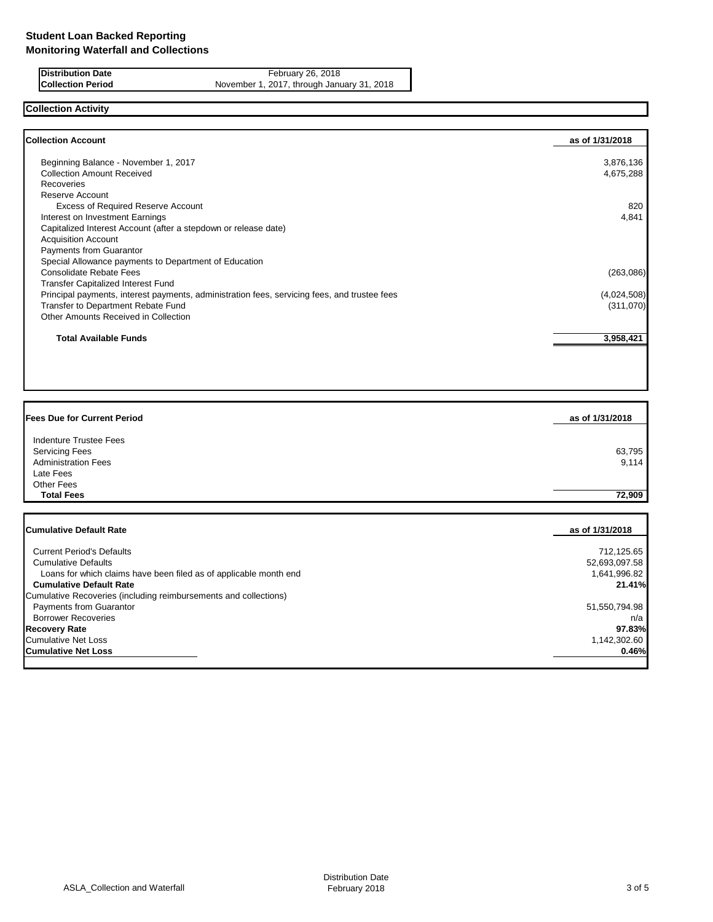**Distribution Date** February 26, 2018<br>**Collection Period** November 1, 2017, through Janu **Collection Period** November 1, 2017, through January 31, 2018

# **Collection Activity**

| <b>Collection Account</b>                                                                    | as of 1/31/2018 |
|----------------------------------------------------------------------------------------------|-----------------|
| Beginning Balance - November 1, 2017                                                         | 3,876,136       |
| <b>Collection Amount Received</b>                                                            | 4,675,288       |
| <b>Recoveries</b>                                                                            |                 |
| Reserve Account                                                                              |                 |
| <b>Excess of Required Reserve Account</b>                                                    | 820             |
| Interest on Investment Earnings                                                              | 4,841           |
| Capitalized Interest Account (after a stepdown or release date)                              |                 |
| <b>Acquisition Account</b>                                                                   |                 |
| Payments from Guarantor                                                                      |                 |
| Special Allowance payments to Department of Education                                        |                 |
| Consolidate Rebate Fees                                                                      | (263,086)       |
| <b>Transfer Capitalized Interest Fund</b>                                                    |                 |
| Principal payments, interest payments, administration fees, servicing fees, and trustee fees | (4,024,508)     |
| Transfer to Department Rebate Fund                                                           | (311,070)       |
| Other Amounts Received in Collection                                                         |                 |
| <b>Total Available Funds</b>                                                                 | 3,958,421       |

| <b>Fees Due for Current Period</b> | as of 1/31/2018 |
|------------------------------------|-----------------|
| Indenture Trustee Fees             |                 |
| <b>Servicing Fees</b>              | 63,795          |
| <b>Administration Fees</b>         | 9,114           |
| Late Fees                          |                 |
| Other Fees                         |                 |
| <b>Total Fees</b>                  | 72,909          |

| <b>Cumulative Default Rate</b>                                    | as of 1/31/2018 |
|-------------------------------------------------------------------|-----------------|
|                                                                   |                 |
| <b>Current Period's Defaults</b>                                  | 712,125.65      |
| <b>Cumulative Defaults</b>                                        | 52,693,097.58   |
| Loans for which claims have been filed as of applicable month end | 1,641,996.82    |
| <b>Cumulative Default Rate</b>                                    | 21.41%          |
| Cumulative Recoveries (including reimbursements and collections)  |                 |
| <b>Payments from Guarantor</b>                                    | 51,550,794.98   |
| <b>Borrower Recoveries</b>                                        | n/a             |
| <b>Recovery Rate</b>                                              | 97.83%          |
| <b>Cumulative Net Loss</b>                                        | 1,142,302.60    |
| <b>Cumulative Net Loss</b>                                        | 0.46%           |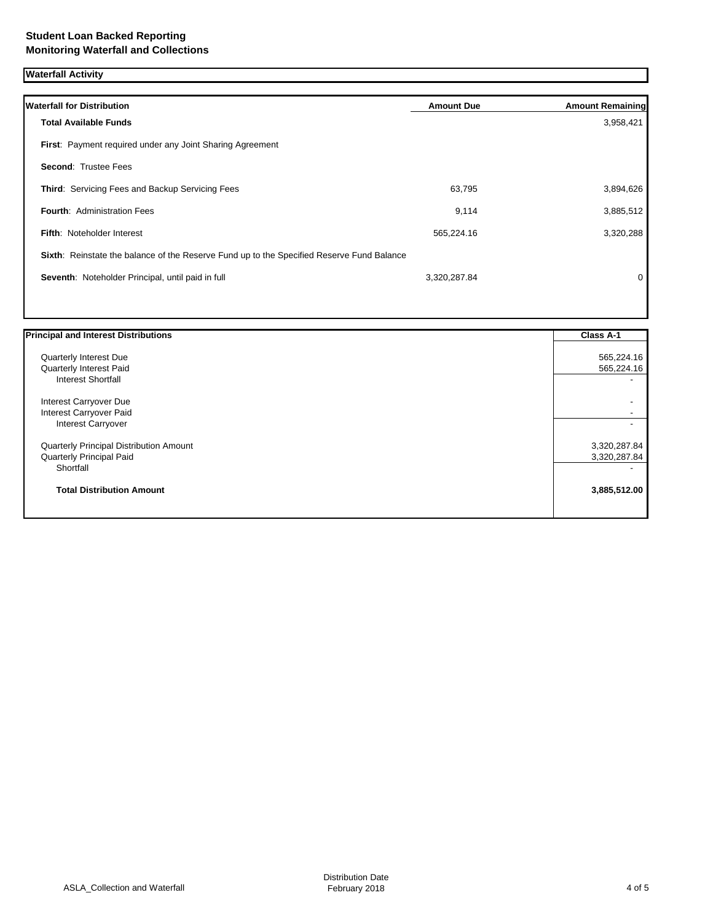# **Waterfall Activity**

| <b>Waterfall for Distribution</b>                                                         | <b>Amount Due</b> | <b>Amount Remaining</b> |
|-------------------------------------------------------------------------------------------|-------------------|-------------------------|
| <b>Total Available Funds</b>                                                              |                   | 3,958,421               |
| First: Payment required under any Joint Sharing Agreement                                 |                   |                         |
| <b>Second: Trustee Fees</b>                                                               |                   |                         |
| Third: Servicing Fees and Backup Servicing Fees                                           | 63,795            | 3,894,626               |
| <b>Fourth: Administration Fees</b>                                                        | 9,114             | 3,885,512               |
| <b>Fifth: Noteholder Interest</b>                                                         | 565,224.16        | 3,320,288               |
| Sixth: Reinstate the balance of the Reserve Fund up to the Specified Reserve Fund Balance |                   |                         |
| Seventh: Noteholder Principal, until paid in full                                         | 3,320,287.84      | $\mathbf 0$             |
|                                                                                           |                   |                         |

| <b>Principal and Interest Distributions</b> | <b>Class A-1</b> |
|---------------------------------------------|------------------|
| Quarterly Interest Due                      | 565,224.16       |
| Quarterly Interest Paid                     | 565,224.16       |
| <b>Interest Shortfall</b>                   |                  |
| Interest Carryover Due                      |                  |
| Interest Carryover Paid                     |                  |
| <b>Interest Carryover</b>                   |                  |
| Quarterly Principal Distribution Amount     | 3,320,287.84     |
| <b>Quarterly Principal Paid</b>             | 3,320,287.84     |
| Shortfall                                   |                  |
| <b>Total Distribution Amount</b>            | 3,885,512.00     |
|                                             |                  |